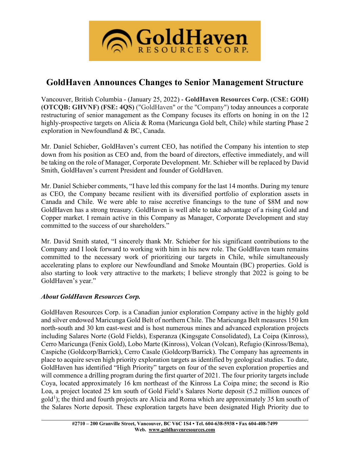

# **GoldHaven Announces Changes to Senior Management Structure**

Vancouver, British Columbia - (January 25, 2022) - **GoldHaven Resources Corp. (CSE: GOH) (OTCQB: GHVNF) (FSE: 4QS)** ("GoldHaven" or the "Company") today announces a corporate restructuring of senior management as the Company focuses its efforts on honing in on the 12 highly-prospective targets on Alicia & Roma (Maricunga Gold belt, Chile) while starting Phase 2 exploration in Newfoundland & BC, Canada.

Mr. Daniel Schieber, GoldHaven's current CEO, has notified the Company his intention to step down from his position as CEO and, from the board of directors, effective immediately, and will be taking on the role of Manager, Corporate Development. Mr. Schieber will be replaced by David Smith, GoldHaven's current President and founder of GoldHaven.

Mr. Daniel Schieber comments, "I have led this company for the last 14 months. During my tenure as CEO, the Company became resilient with its diversified portfolio of exploration assets in Canada and Chile. We were able to raise accretive financings to the tune of \$8M and now GoldHaven has a strong treasury. GoldHaven is well able to take advantage of a rising Gold and Copper market. I remain active in this Company as Manager, Corporate Development and stay committed to the success of our shareholders."

Mr. David Smith stated, "I sincerely thank Mr. Schieber for his significant contributions to the Company and I look forward to working with him in his new role. The GoldHaven team remains committed to the necessary work of prioritizing our targets in Chile, while simultaneously accelerating plans to explore our Newfoundland and Smoke Mountain (BC) properties. Gold is also starting to look very attractive to the markets; I believe strongly that 2022 is going to be GoldHaven's year."

## *About GoldHaven Resources Corp.*

GoldHaven Resources Corp. is a Canadian junior exploration Company active in the highly gold and silver endowed Maricunga Gold Belt of northern Chile. The Maricunga Belt measures 150 km north-south and 30 km east-west and is host numerous mines and advanced exploration projects including Salares Norte (Gold Fields), Esperanza (Kingsgate Consolidated), La Coipa (Kinross), Cerro Maricunga (Fenix Gold), Lobo Marte (Kinross), Volcan (Volcan), Refugio (Kinross/Bema), Caspiche (Goldcorp/Barrick), Cerro Casale (Goldcorp/Barrick). The Company has agreements in place to acquire seven high priority exploration targets as identified by geological studies. To date, GoldHaven has identified "High Priority" targets on four of the seven exploration properties and will commence a drilling program during the first quarter of 2021. The four priority targets include Coya, located approximately 16 km northeast of the Kinross La Coipa mine; the second is Rio Loa, a project located 25 km south of Gold Field's Salares Norte deposit (5.2 million ounces of gold<sup>1</sup>); the third and fourth projects are Alicia and Roma which are approximately 35 km south of the Salares Norte deposit. These exploration targets have been designated High Priority due to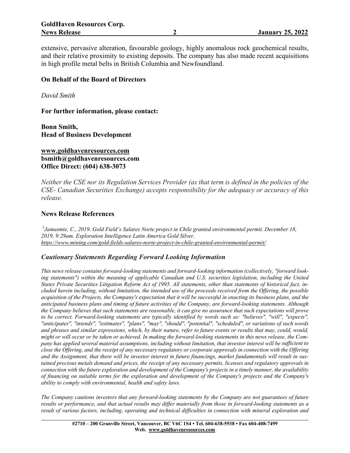extensive, pervasive alteration, favourable geology, highly anomalous rock geochemical results, and their relative proximity to existing deposits. The company has also made recent acquisitions in high profile metal belts in British Columbia and Newfoundland.

## **On Behalf of the Board of Directors**

*David Smith*

**For further information, please contact:**

**Bonn Smith, Head of Business Development**

**[www.goldhavenresources.com](http://www.goldhavenresources.com/) bsmith@goldhavenresources.com Office Direct: (604) 638-3073**

Neither the CSE nor its Regulation Services Provider (as that term is defined in the policies of the *CSE- Canadian Securities Exchange) accepts responsibility for the adequacy or accuracy of this release.*

#### **News Release References**

*1 Jamasmie, C., 2019. Gold Field's Salares Norte project in Chile granted environmental permit. December 18, 2019, 9:29am. Exploration Intelligence Latin America Gold Silver. <https://www.mining.com/gold-fields-salares-norte-project-in-chile-granted-environmental-permit/>*

### *Cautionary Statements Regarding Forward Looking Information*

*This news release contains forward-looking statements and forward-looking information (collectively, "forward looking statements") within the meaning of applicable Canadian and U.S. securities legislation, including the United* States Private Securities Litigation Reform Act of 1995. All statements, other than statements of historical fact, included herein including, without limitation, the intended use of the proceeds received from the Offering, the possible acquisition of the Projects, the Company's expectation that it will be successful in enacting its business plans, and the *anticipated business plans and timing of future activities of the Company, are forward-looking statements. Although* the Company believes that such statements are reasonable, it can give no assurance that such expectations will prove *to be correct. Forward-looking statements are typically identified by words such as: "believes", "will", "expects", "anticipates", "intends", "estimates", "plans", "may", "should", "potential", "scheduled", or variations of such words* and phrases and similar expressions, which, by their nature, refer to future events or results that may, could, would, might or will occur or be taken or achieved. In making the forward-looking statements in this news release, the Company has applied several material assumptions, including without limitation, that investor interest will be sufficient to close the Offering, and the receipt of any necessary regulatory or corporate approvals in connection with the Offering and the Assignment, that there will be investor interest in future financings, market fundamentals will result in sustained precious metals demand and prices, the receipt of any necessary permits, licenses and regulatory approvals in connection with the future exploration and development of the Company's projects in a timely manner, the availability of financing on suitable terms for the exploration and development of the Company's projects and the Company's *ability to comply with environmental, health and safety laws.*

*The Company cautions investors that any forward-looking statements by the Company are not guarantees of future* results or performance, and that actual results may differ materially from those in forward-looking statements as a *result of various factors, including, operating and technical difficulties in connection with mineral exploration and*